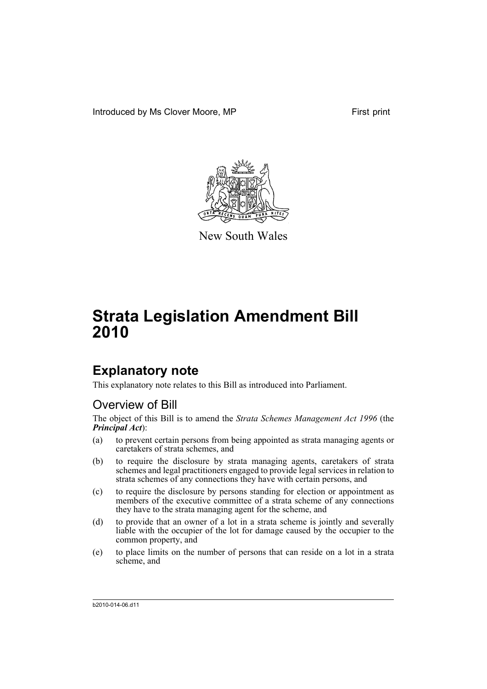Introduced by Ms Clover Moore, MP First print



New South Wales

# **Strata Legislation Amendment Bill 2010**

## **Explanatory note**

This explanatory note relates to this Bill as introduced into Parliament.

## Overview of Bill

The object of this Bill is to amend the *Strata Schemes Management Act 1996* (the *Principal Act*):

- (a) to prevent certain persons from being appointed as strata managing agents or caretakers of strata schemes, and
- (b) to require the disclosure by strata managing agents, caretakers of strata schemes and legal practitioners engaged to provide legal services in relation to strata schemes of any connections they have with certain persons, and
- (c) to require the disclosure by persons standing for election or appointment as members of the executive committee of a strata scheme of any connections they have to the strata managing agent for the scheme, and
- (d) to provide that an owner of a lot in a strata scheme is jointly and severally liable with the occupier of the lot for damage caused by the occupier to the common property, and
- (e) to place limits on the number of persons that can reside on a lot in a strata scheme, and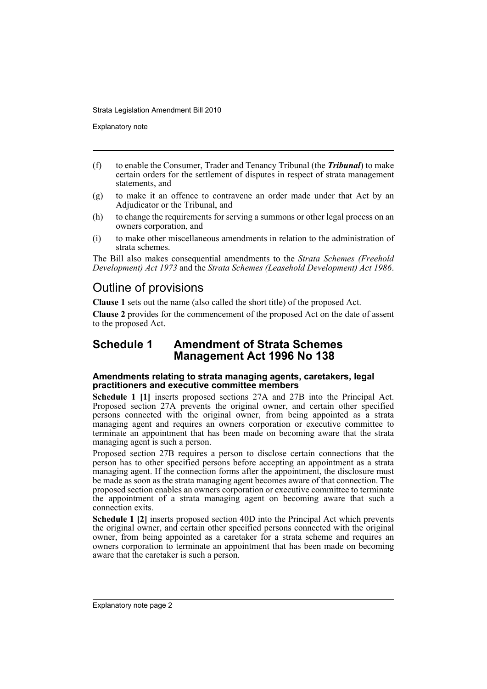Explanatory note

- (f) to enable the Consumer, Trader and Tenancy Tribunal (the *Tribunal*) to make certain orders for the settlement of disputes in respect of strata management statements, and
- (g) to make it an offence to contravene an order made under that Act by an Adjudicator or the Tribunal, and
- (h) to change the requirements for serving a summons or other legal process on an owners corporation, and
- (i) to make other miscellaneous amendments in relation to the administration of strata schemes.

The Bill also makes consequential amendments to the *Strata Schemes (Freehold Development) Act 1973* and the *Strata Schemes (Leasehold Development) Act 1986*.

## Outline of provisions

**Clause 1** sets out the name (also called the short title) of the proposed Act.

**Clause 2** provides for the commencement of the proposed Act on the date of assent to the proposed Act.

## **Schedule 1 Amendment of Strata Schemes Management Act 1996 No 138**

## **Amendments relating to strata managing agents, caretakers, legal practitioners and executive committee members**

**Schedule 1 [1]** inserts proposed sections 27A and 27B into the Principal Act. Proposed section 27A prevents the original owner, and certain other specified persons connected with the original owner, from being appointed as a strata managing agent and requires an owners corporation or executive committee to terminate an appointment that has been made on becoming aware that the strata managing agent is such a person.

Proposed section 27B requires a person to disclose certain connections that the person has to other specified persons before accepting an appointment as a strata managing agent. If the connection forms after the appointment, the disclosure must be made as soon as the strata managing agent becomes aware of that connection. The proposed section enables an owners corporation or executive committee to terminate the appointment of a strata managing agent on becoming aware that such a connection exits.

**Schedule 1 [2]** inserts proposed section 40D into the Principal Act which prevents the original owner, and certain other specified persons connected with the original owner, from being appointed as a caretaker for a strata scheme and requires an owners corporation to terminate an appointment that has been made on becoming aware that the caretaker is such a person.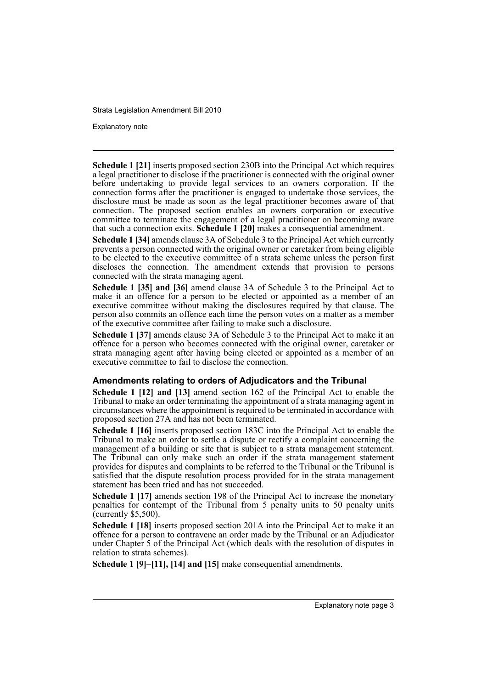Explanatory note

**Schedule 1 [21]** inserts proposed section 230B into the Principal Act which requires a legal practitioner to disclose if the practitioner is connected with the original owner before undertaking to provide legal services to an owners corporation. If the connection forms after the practitioner is engaged to undertake those services, the disclosure must be made as soon as the legal practitioner becomes aware of that connection. The proposed section enables an owners corporation or executive committee to terminate the engagement of a legal practitioner on becoming aware that such a connection exits. **Schedule 1 [20]** makes a consequential amendment.

**Schedule 1 [34]** amends clause 3A of Schedule 3 to the Principal Act which currently prevents a person connected with the original owner or caretaker from being eligible to be elected to the executive committee of a strata scheme unless the person first discloses the connection. The amendment extends that provision to persons connected with the strata managing agent.

**Schedule 1 [35] and [36]** amend clause 3A of Schedule 3 to the Principal Act to make it an offence for a person to be elected or appointed as a member of an executive committee without making the disclosures required by that clause. The person also commits an offence each time the person votes on a matter as a member of the executive committee after failing to make such a disclosure.

**Schedule 1 [37]** amends clause 3A of Schedule 3 to the Principal Act to make it an offence for a person who becomes connected with the original owner, caretaker or strata managing agent after having being elected or appointed as a member of an executive committee to fail to disclose the connection.

## **Amendments relating to orders of Adjudicators and the Tribunal**

**Schedule 1 [12] and [13]** amend section 162 of the Principal Act to enable the Tribunal to make an order terminating the appointment of a strata managing agent in circumstances where the appointment is required to be terminated in accordance with proposed section 27A and has not been terminated.

**Schedule 1 [16]** inserts proposed section 183C into the Principal Act to enable the Tribunal to make an order to settle a dispute or rectify a complaint concerning the management of a building or site that is subject to a strata management statement. The Tribunal can only make such an order if the strata management statement provides for disputes and complaints to be referred to the Tribunal or the Tribunal is satisfied that the dispute resolution process provided for in the strata management statement has been tried and has not succeeded.

**Schedule 1 [17]** amends section 198 of the Principal Act to increase the monetary penalties for contempt of the Tribunal from 5 penalty units to 50 penalty units  $\tilde{C}$  (currently \$5,500).

**Schedule 1 [18]** inserts proposed section 201A into the Principal Act to make it an offence for a person to contravene an order made by the Tribunal or an Adjudicator under Chapter 5 of the Principal Act (which deals with the resolution of disputes in relation to strata schemes).

**Schedule 1 [9]–[11], [14] and [15]** make consequential amendments.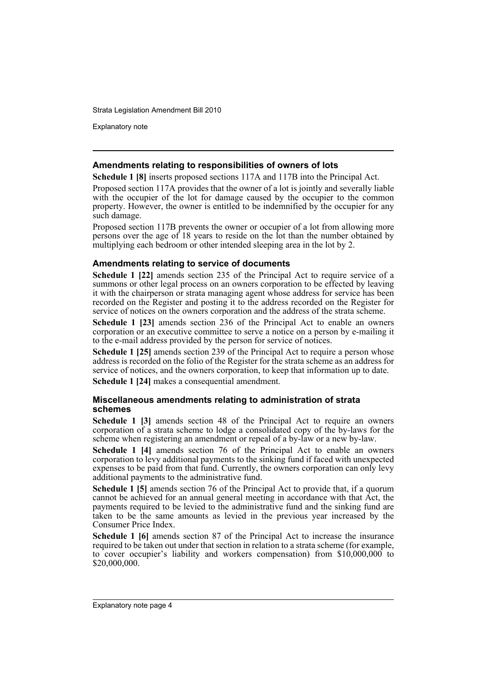Explanatory note

### **Amendments relating to responsibilities of owners of lots**

**Schedule 1 [8]** inserts proposed sections 117A and 117B into the Principal Act.

Proposed section 117A provides that the owner of a lot is jointly and severally liable with the occupier of the lot for damage caused by the occupier to the common property. However, the owner is entitled to be indemnified by the occupier for any such damage.

Proposed section 117B prevents the owner or occupier of a lot from allowing more persons over the age of 18 years to reside on the lot than the number obtained by multiplying each bedroom or other intended sleeping area in the lot by 2.

### **Amendments relating to service of documents**

**Schedule 1 [22]** amends section 235 of the Principal Act to require service of a summons or other legal process on an owners corporation to be effected by leaving it with the chairperson or strata managing agent whose address for service has been recorded on the Register and posting it to the address recorded on the Register for service of notices on the owners corporation and the address of the strata scheme.

**Schedule 1 [23]** amends section 236 of the Principal Act to enable an owners corporation or an executive committee to serve a notice on a person by e-mailing it to the e-mail address provided by the person for service of notices.

**Schedule 1 [25]** amends section 239 of the Principal Act to require a person whose address is recorded on the folio of the Register for the strata scheme as an address for service of notices, and the owners corporation, to keep that information up to date.

**Schedule 1 [24]** makes a consequential amendment.

### **Miscellaneous amendments relating to administration of strata schemes**

**Schedule 1 [3]** amends section 48 of the Principal Act to require an owners corporation of a strata scheme to lodge a consolidated copy of the by-laws for the scheme when registering an amendment or repeal of a by-law or a new by-law.

**Schedule 1 [4]** amends section 76 of the Principal Act to enable an owners corporation to levy additional payments to the sinking fund if faced with unexpected expenses to be paid from that fund. Currently, the owners corporation can only levy additional payments to the administrative fund.

**Schedule 1 [5]** amends section 76 of the Principal Act to provide that, if a quorum cannot be achieved for an annual general meeting in accordance with that Act, the payments required to be levied to the administrative fund and the sinking fund are taken to be the same amounts as levied in the previous year increased by the Consumer Price Index.

**Schedule 1 [6]** amends section 87 of the Principal Act to increase the insurance required to be taken out under that section in relation to a strata scheme (for example, to cover occupier's liability and workers compensation) from \$10,000,000 to \$20,000,000.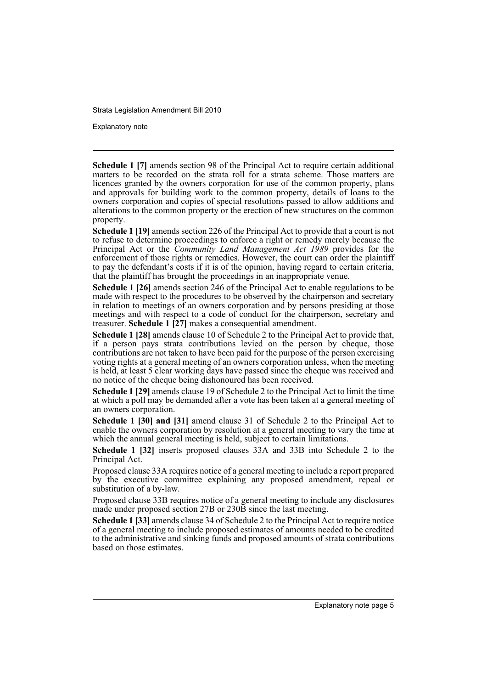Explanatory note

**Schedule 1 [7]** amends section 98 of the Principal Act to require certain additional matters to be recorded on the strata roll for a strata scheme. Those matters are licences granted by the owners corporation for use of the common property, plans and approvals for building work to the common property, details of loans to the owners corporation and copies of special resolutions passed to allow additions and alterations to the common property or the erection of new structures on the common property.

**Schedule 1 [19]** amends section 226 of the Principal Act to provide that a court is not to refuse to determine proceedings to enforce a right or remedy merely because the Principal Act or the *Community Land Management Act 1989* provides for the enforcement of those rights or remedies. However, the court can order the plaintiff to pay the defendant's costs if it is of the opinion, having regard to certain criteria, that the plaintiff has brought the proceedings in an inappropriate venue.

**Schedule 1 [26]** amends section 246 of the Principal Act to enable regulations to be made with respect to the procedures to be observed by the chairperson and secretary in relation to meetings of an owners corporation and by persons presiding at those meetings and with respect to a code of conduct for the chairperson, secretary and treasurer. **Schedule 1 [27]** makes a consequential amendment.

**Schedule 1 [28]** amends clause 10 of Schedule 2 to the Principal Act to provide that, if a person pays strata contributions levied on the person by cheque, those contributions are not taken to have been paid for the purpose of the person exercising voting rights at a general meeting of an owners corporation unless, when the meeting is held, at least 5 clear working days have passed since the cheque was received and no notice of the cheque being dishonoured has been received.

**Schedule 1 [29]** amends clause 19 of Schedule 2 to the Principal Act to limit the time at which a poll may be demanded after a vote has been taken at a general meeting of an owners corporation.

**Schedule 1 [30] and [31]** amend clause 31 of Schedule 2 to the Principal Act to enable the owners corporation by resolution at a general meeting to vary the time at which the annual general meeting is held, subject to certain limitations.

**Schedule 1 [32]** inserts proposed clauses 33A and 33B into Schedule 2 to the Principal Act.

Proposed clause 33A requires notice of a general meeting to include a report prepared by the executive committee explaining any proposed amendment, repeal or substitution of a by-law.

Proposed clause 33B requires notice of a general meeting to include any disclosures made under proposed section 27B or 230B since the last meeting.

**Schedule 1 [33]** amends clause 34 of Schedule 2 to the Principal Act to require notice of a general meeting to include proposed estimates of amounts needed to be credited to the administrative and sinking funds and proposed amounts of strata contributions based on those estimates.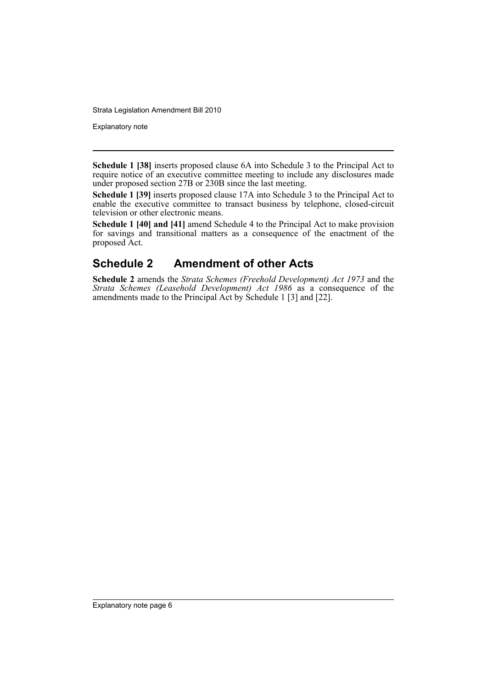Explanatory note

**Schedule 1 [38]** inserts proposed clause 6A into Schedule 3 to the Principal Act to require notice of an executive committee meeting to include any disclosures made under proposed section 27B or 230B since the last meeting.

**Schedule 1 [39]** inserts proposed clause 17A into Schedule 3 to the Principal Act to enable the executive committee to transact business by telephone, closed-circuit television or other electronic means.

**Schedule 1 [40] and [41]** amend Schedule 4 to the Principal Act to make provision for savings and transitional matters as a consequence of the enactment of the proposed Act.

## **Schedule 2 Amendment of other Acts**

**Schedule 2** amends the *Strata Schemes (Freehold Development) Act 1973* and the *Strata Schemes (Leasehold Development) Act 1986* as a consequence of the amendments made to the Principal Act by Schedule 1 [3] and [22].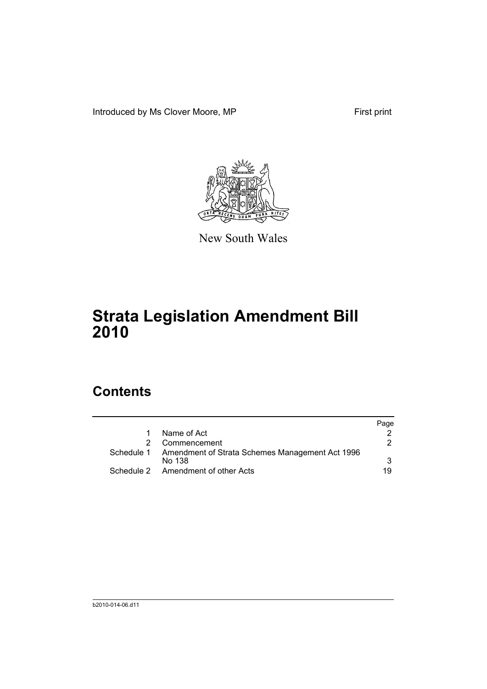Introduced by Ms Clover Moore, MP First print



New South Wales

# **Strata Legislation Amendment Bill 2010**

# **Contents**

|                                                                      | Page |
|----------------------------------------------------------------------|------|
| Name of Act                                                          |      |
| 2 Commencement                                                       | 2.   |
| Schedule 1 Amendment of Strata Schemes Management Act 1996<br>No 138 | 3    |
| Schedule 2 Amendment of other Acts                                   | 19   |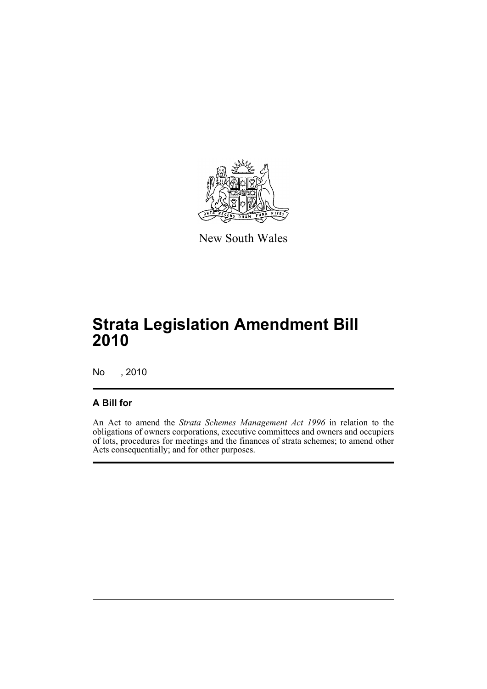

New South Wales

# **Strata Legislation Amendment Bill 2010**

No , 2010

## **A Bill for**

An Act to amend the *Strata Schemes Management Act 1996* in relation to the obligations of owners corporations, executive committees and owners and occupiers of lots, procedures for meetings and the finances of strata schemes; to amend other Acts consequentially; and for other purposes.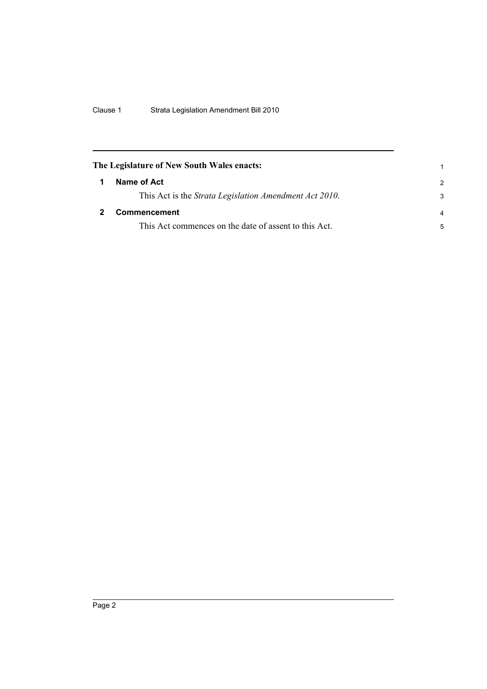<span id="page-9-1"></span><span id="page-9-0"></span>

| The Legislature of New South Wales enacts:             |                |
|--------------------------------------------------------|----------------|
| Name of Act                                            | $\mathcal{P}$  |
| This Act is the Strata Legislation Amendment Act 2010. | 3              |
| <b>Commencement</b>                                    | $\overline{a}$ |
| This Act commences on the date of assent to this Act.  | 5              |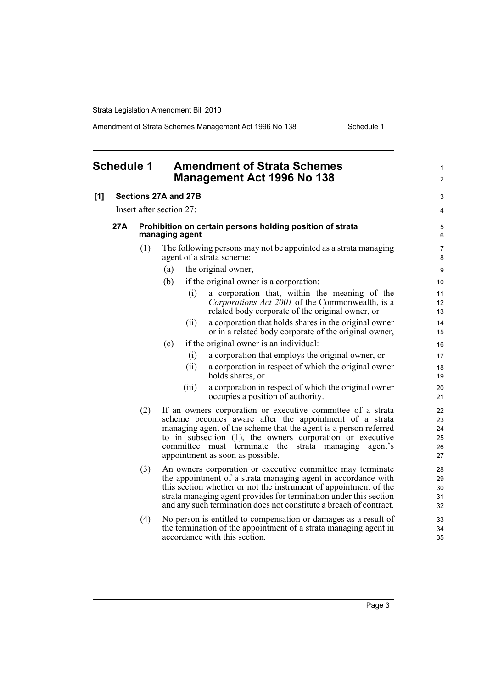Amendment of Strata Schemes Management Act 1996 No 138 Schedule 1

<span id="page-10-0"></span>

| <b>Schedule 1</b> |      |     | <b>Amendment of Strata Schemes</b><br><b>Management Act 1996 No 138</b>                                                                                                                                                                                                                                                                               | 1<br>$\overline{c}$              |
|-------------------|------|-----|-------------------------------------------------------------------------------------------------------------------------------------------------------------------------------------------------------------------------------------------------------------------------------------------------------------------------------------------------------|----------------------------------|
| [1]               |      |     | Sections 27A and 27B                                                                                                                                                                                                                                                                                                                                  | 3                                |
|                   |      |     | Insert after section 27:                                                                                                                                                                                                                                                                                                                              | 4                                |
|                   | 27 A |     | Prohibition on certain persons holding position of strata<br>managing agent                                                                                                                                                                                                                                                                           | 5<br>6                           |
|                   |      | (1) | The following persons may not be appointed as a strata managing<br>agent of a strata scheme:                                                                                                                                                                                                                                                          | 7<br>8                           |
|                   |      |     | the original owner,<br>(a)                                                                                                                                                                                                                                                                                                                            | $\boldsymbol{9}$                 |
|                   |      |     | (b)<br>if the original owner is a corporation:                                                                                                                                                                                                                                                                                                        | 10                               |
|                   |      |     | (i)<br>a corporation that, within the meaning of the<br>Corporations Act 2001 of the Commonwealth, is a<br>related body corporate of the original owner, or                                                                                                                                                                                           | 11<br>12<br>13                   |
|                   |      |     | a corporation that holds shares in the original owner<br>(ii)<br>or in a related body corporate of the original owner,                                                                                                                                                                                                                                | 14<br>15                         |
|                   |      |     | (c)<br>if the original owner is an individual:                                                                                                                                                                                                                                                                                                        | 16                               |
|                   |      |     | (i)<br>a corporation that employs the original owner, or                                                                                                                                                                                                                                                                                              | 17                               |
|                   |      |     | a corporation in respect of which the original owner<br>(ii)<br>holds shares, or                                                                                                                                                                                                                                                                      | 18<br>19                         |
|                   |      |     | a corporation in respect of which the original owner<br>(iii)<br>occupies a position of authority.                                                                                                                                                                                                                                                    | 20<br>21                         |
|                   |      | (2) | If an owners corporation or executive committee of a strata<br>scheme becomes aware after the appointment of a strata<br>managing agent of the scheme that the agent is a person referred<br>to in subsection (1), the owners corporation or executive<br>committee must terminate the<br>strata managing agent's<br>appointment as soon as possible. | 22<br>23<br>24<br>25<br>26<br>27 |
|                   |      | (3) | An owners corporation or executive committee may terminate<br>the appointment of a strata managing agent in accordance with<br>this section whether or not the instrument of appointment of the<br>strata managing agent provides for termination under this section<br>and any such termination does not constitute a breach of contract.            | 28<br>29<br>30<br>31<br>32       |
|                   |      | (4) | No person is entitled to compensation or damages as a result of<br>the termination of the appointment of a strata managing agent in<br>accordance with this section.                                                                                                                                                                                  | 33<br>34<br>35                   |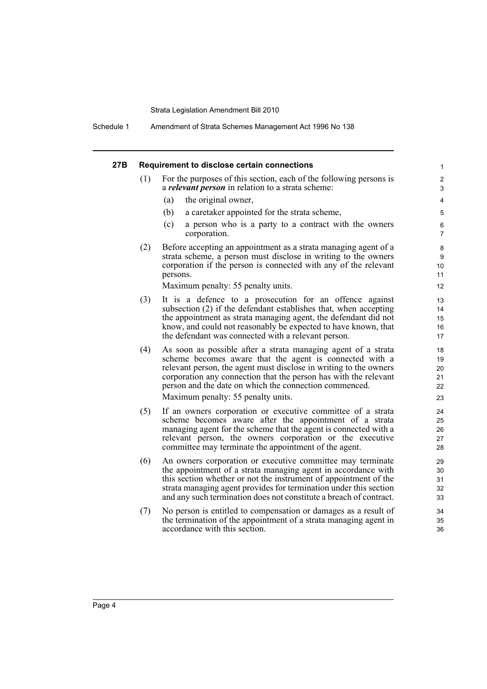Schedule 1 Amendment of Strata Schemes Management Act 1996 No 138

| 27B | Requirement to disclose certain connections |                                                                                                                                                                                                                                                                                                                                            |                                         |  |  |  |
|-----|---------------------------------------------|--------------------------------------------------------------------------------------------------------------------------------------------------------------------------------------------------------------------------------------------------------------------------------------------------------------------------------------------|-----------------------------------------|--|--|--|
|     | (1)                                         | For the purposes of this section, each of the following persons is<br>a <i>relevant person</i> in relation to a strata scheme:                                                                                                                                                                                                             | $\overline{\mathbf{c}}$<br>3            |  |  |  |
|     |                                             | (a)<br>the original owner,                                                                                                                                                                                                                                                                                                                 | 4                                       |  |  |  |
|     |                                             | (b)<br>a caretaker appointed for the strata scheme,                                                                                                                                                                                                                                                                                        | 5                                       |  |  |  |
|     |                                             | (c)<br>a person who is a party to a contract with the owners<br>corporation.                                                                                                                                                                                                                                                               | 6<br>7                                  |  |  |  |
|     | (2)                                         | Before accepting an appointment as a strata managing agent of a<br>strata scheme, a person must disclose in writing to the owners<br>corporation if the person is connected with any of the relevant<br>persons.<br>Maximum penalty: 55 penalty units.                                                                                     | 8<br>$\boldsymbol{9}$<br>10<br>11<br>12 |  |  |  |
|     |                                             |                                                                                                                                                                                                                                                                                                                                            |                                         |  |  |  |
|     | (3)                                         | It is a defence to a prosecution for an offence against<br>subsection (2) if the defendant establishes that, when accepting                                                                                                                                                                                                                | 13<br>14                                |  |  |  |
|     |                                             | the appointment as strata managing agent, the defendant did not                                                                                                                                                                                                                                                                            | 15                                      |  |  |  |
|     |                                             | know, and could not reasonably be expected to have known, that<br>the defendant was connected with a relevant person.                                                                                                                                                                                                                      | 16<br>17                                |  |  |  |
|     | (4)                                         | As soon as possible after a strata managing agent of a strata<br>scheme becomes aware that the agent is connected with a<br>relevant person, the agent must disclose in writing to the owners<br>corporation any connection that the person has with the relevant                                                                          | 18<br>19<br>20<br>21                    |  |  |  |
|     |                                             | person and the date on which the connection commenced.                                                                                                                                                                                                                                                                                     | 22                                      |  |  |  |
|     |                                             | Maximum penalty: 55 penalty units.                                                                                                                                                                                                                                                                                                         | 23                                      |  |  |  |
|     | (5)                                         | If an owners corporation or executive committee of a strata<br>scheme becomes aware after the appointment of a strata<br>managing agent for the scheme that the agent is connected with a<br>relevant person, the owners corporation or the executive<br>committee may terminate the appointment of the agent.                             | 24<br>25<br>26<br>27<br>28              |  |  |  |
|     | (6)                                         | An owners corporation or executive committee may terminate<br>the appointment of a strata managing agent in accordance with<br>this section whether or not the instrument of appointment of the<br>strata managing agent provides for termination under this section<br>and any such termination does not constitute a breach of contract. | 29<br>30<br>31<br>32<br>33              |  |  |  |
|     | (7)                                         | No person is entitled to compensation or damages as a result of<br>the termination of the appointment of a strata managing agent in<br>accordance with this section.                                                                                                                                                                       | 34<br>35<br>36                          |  |  |  |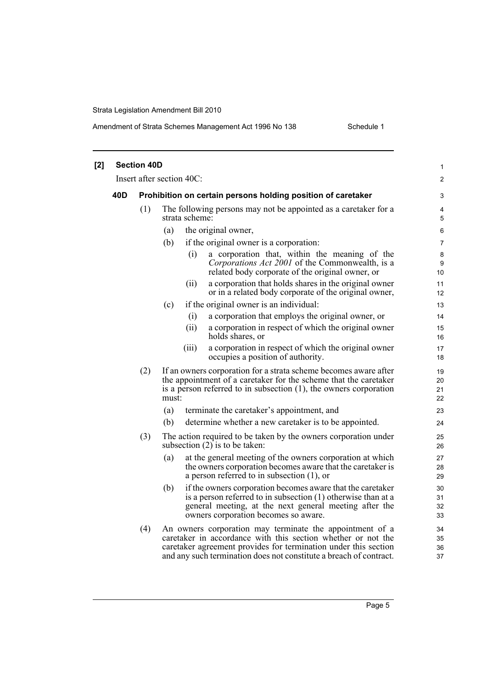## Amendment of Strata Schemes Management Act 1996 No 138 Schedule 1

| [2] | <b>Section 40D</b> |     |       |                           |                                                                                                                                                                                                                                                                   |                      |
|-----|--------------------|-----|-------|---------------------------|-------------------------------------------------------------------------------------------------------------------------------------------------------------------------------------------------------------------------------------------------------------------|----------------------|
|     |                    |     |       | Insert after section 40C: |                                                                                                                                                                                                                                                                   | $\overline{c}$       |
|     | 40D                |     |       |                           | Prohibition on certain persons holding position of caretaker                                                                                                                                                                                                      | 3                    |
|     |                    | (1) |       | strata scheme:            | The following persons may not be appointed as a caretaker for a                                                                                                                                                                                                   | 4<br>5               |
|     |                    |     | (a)   |                           | the original owner,                                                                                                                                                                                                                                               | 6                    |
|     |                    |     | (b)   |                           | if the original owner is a corporation:                                                                                                                                                                                                                           | 7                    |
|     |                    |     |       | (i)                       | a corporation that, within the meaning of the<br>Corporations Act 2001 of the Commonwealth, is a<br>related body corporate of the original owner, or                                                                                                              | 8<br>9<br>10         |
|     |                    |     |       | (ii)                      | a corporation that holds shares in the original owner<br>or in a related body corporate of the original owner,                                                                                                                                                    | 11<br>12             |
|     |                    |     | (c)   |                           | if the original owner is an individual:                                                                                                                                                                                                                           | 13                   |
|     |                    |     |       | (i)                       | a corporation that employs the original owner, or                                                                                                                                                                                                                 | 14                   |
|     |                    |     |       | (ii)                      | a corporation in respect of which the original owner<br>holds shares, or                                                                                                                                                                                          | 15<br>16             |
|     |                    |     |       | (iii)                     | a corporation in respect of which the original owner<br>occupies a position of authority.                                                                                                                                                                         | 17<br>18             |
|     |                    | (2) | must: |                           | If an owners corporation for a strata scheme becomes aware after<br>the appointment of a caretaker for the scheme that the caretaker<br>is a person referred to in subsection $(1)$ , the owners corporation                                                      | 19<br>20<br>21<br>22 |
|     |                    |     | (a)   |                           | terminate the caretaker's appointment, and                                                                                                                                                                                                                        | 23                   |
|     |                    |     | (b)   |                           | determine whether a new caretaker is to be appointed.                                                                                                                                                                                                             | 24                   |
|     |                    | (3) |       |                           | The action required to be taken by the owners corporation under<br>subsection $(2)$ is to be taken:                                                                                                                                                               | 25<br>26             |
|     |                    |     | (a)   |                           | at the general meeting of the owners corporation at which<br>the owners corporation becomes aware that the caretaker is<br>a person referred to in subsection $(1)$ , or                                                                                          | 27<br>28<br>29       |
|     |                    |     | (b)   |                           | if the owners corporation becomes aware that the caretaker<br>is a person referred to in subsection (1) otherwise than at a<br>general meeting, at the next general meeting after the<br>owners corporation becomes so aware.                                     | 30<br>31<br>32<br>33 |
|     |                    | (4) |       |                           | An owners corporation may terminate the appointment of a<br>caretaker in accordance with this section whether or not the<br>caretaker agreement provides for termination under this section<br>and any such termination does not constitute a breach of contract. | 34<br>35<br>36<br>37 |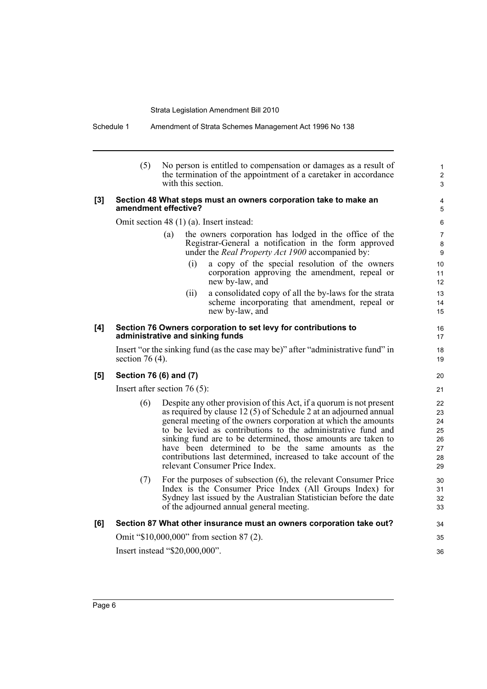Schedule 1 Amendment of Strata Schemes Management Act 1996 No 138

|     | (5)                                                                                      | with this section.               | No person is entitled to compensation or damages as a result of<br>the termination of the appointment of a caretaker in accordance                                                                                                                                                                                                                                                                                                                                                                     | $\mathbf{1}$<br>2<br>3                       |  |
|-----|------------------------------------------------------------------------------------------|----------------------------------|--------------------------------------------------------------------------------------------------------------------------------------------------------------------------------------------------------------------------------------------------------------------------------------------------------------------------------------------------------------------------------------------------------------------------------------------------------------------------------------------------------|----------------------------------------------|--|
| [3] | Section 48 What steps must an owners corporation take to make an<br>amendment effective? |                                  |                                                                                                                                                                                                                                                                                                                                                                                                                                                                                                        |                                              |  |
|     | Omit section 48 (1) (a). Insert instead:                                                 |                                  |                                                                                                                                                                                                                                                                                                                                                                                                                                                                                                        |                                              |  |
|     |                                                                                          | (a)                              | the owners corporation has lodged in the office of the<br>Registrar-General a notification in the form approved<br>under the <i>Real Property Act 1900</i> accompanied by:                                                                                                                                                                                                                                                                                                                             | $\overline{7}$<br>8<br>9                     |  |
|     |                                                                                          | (i)                              | a copy of the special resolution of the owners<br>corporation approving the amendment, repeal or<br>new by-law, and                                                                                                                                                                                                                                                                                                                                                                                    | 10<br>11<br>12                               |  |
|     |                                                                                          | (11)                             | a consolidated copy of all the by-laws for the strata<br>scheme incorporating that amendment, repeal or<br>new by-law, and                                                                                                                                                                                                                                                                                                                                                                             | 13<br>14<br>15                               |  |
| [4] |                                                                                          | administrative and sinking funds | Section 76 Owners corporation to set levy for contributions to                                                                                                                                                                                                                                                                                                                                                                                                                                         | 16<br>17                                     |  |
|     | section 76 $(4)$ .                                                                       |                                  | Insert "or the sinking fund (as the case may be)" after "administrative fund" in                                                                                                                                                                                                                                                                                                                                                                                                                       | 18<br>19                                     |  |
| [5] | Section 76 (6) and (7)                                                                   |                                  |                                                                                                                                                                                                                                                                                                                                                                                                                                                                                                        | 20                                           |  |
|     | Insert after section $76(5)$ :                                                           |                                  |                                                                                                                                                                                                                                                                                                                                                                                                                                                                                                        | 21                                           |  |
|     | (6)                                                                                      |                                  | Despite any other provision of this Act, if a quorum is not present<br>as required by clause 12 (5) of Schedule 2 at an adjourned annual<br>general meeting of the owners corporation at which the amounts<br>to be levied as contributions to the administrative fund and<br>sinking fund are to be determined, those amounts are taken to<br>have been determined to be the same amounts as the<br>contributions last determined, increased to take account of the<br>relevant Consumer Price Index. | 22<br>23<br>24<br>25<br>26<br>27<br>28<br>29 |  |
|     | (7)                                                                                      |                                  | For the purposes of subsection (6), the relevant Consumer Price<br>Index is the Consumer Price Index (All Groups Index) for<br>Sydney last issued by the Australian Statistician before the date<br>of the adjourned annual general meeting.                                                                                                                                                                                                                                                           | 30<br>31<br>32<br>33                         |  |
| [6] |                                                                                          |                                  | Section 87 What other insurance must an owners corporation take out?                                                                                                                                                                                                                                                                                                                                                                                                                                   | 34                                           |  |
|     |                                                                                          |                                  | Omit "\$10,000,000" from section 87 (2).                                                                                                                                                                                                                                                                                                                                                                                                                                                               | 35                                           |  |
|     |                                                                                          | Insert instead "\$20,000,000".   |                                                                                                                                                                                                                                                                                                                                                                                                                                                                                                        | 36                                           |  |
|     |                                                                                          |                                  |                                                                                                                                                                                                                                                                                                                                                                                                                                                                                                        |                                              |  |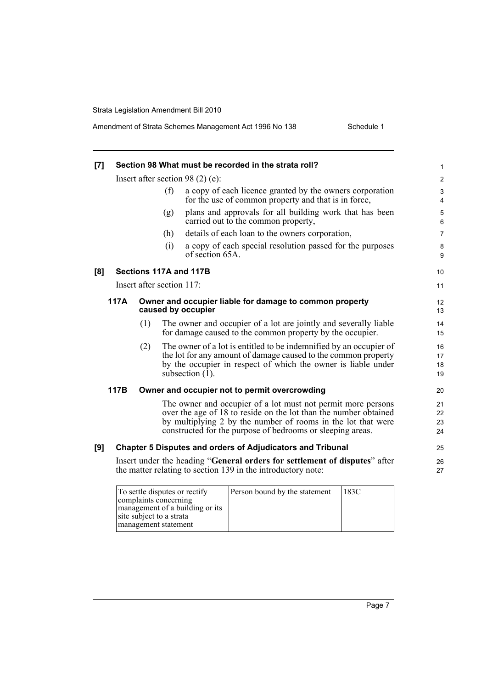| [7] | Section 98 What must be recorded in the strata roll?<br>1                             |                           |     |                                                                                                                                                                                                                                                                |                      |  |
|-----|---------------------------------------------------------------------------------------|---------------------------|-----|----------------------------------------------------------------------------------------------------------------------------------------------------------------------------------------------------------------------------------------------------------------|----------------------|--|
|     |                                                                                       |                           |     | Insert after section 98 $(2)$ $(e)$ :                                                                                                                                                                                                                          | $\overline{2}$       |  |
|     |                                                                                       |                           | (f) | a copy of each licence granted by the owners corporation<br>for the use of common property and that is in force,                                                                                                                                               | 3<br>4               |  |
|     |                                                                                       |                           | (g) | plans and approvals for all building work that has been<br>carried out to the common property,                                                                                                                                                                 | $\mathbf 5$<br>6     |  |
|     |                                                                                       |                           | (h) | details of each loan to the owners corporation,                                                                                                                                                                                                                | $\overline{7}$       |  |
|     |                                                                                       |                           | (i) | a copy of each special resolution passed for the purposes<br>of section 65A.                                                                                                                                                                                   | 8<br>9               |  |
| [8] |                                                                                       |                           |     | Sections 117A and 117B                                                                                                                                                                                                                                         | 10                   |  |
|     |                                                                                       | Insert after section 117: |     |                                                                                                                                                                                                                                                                | 11                   |  |
|     | 117A<br>Owner and occupier liable for damage to common property<br>caused by occupier |                           |     | 12<br>13                                                                                                                                                                                                                                                       |                      |  |
|     |                                                                                       | (1)                       |     | The owner and occupier of a lot are jointly and severally liable<br>for damage caused to the common property by the occupier.                                                                                                                                  | 14<br>15             |  |
|     |                                                                                       | (2)                       |     | The owner of a lot is entitled to be indemnified by an occupier of<br>the lot for any amount of damage caused to the common property<br>by the occupier in respect of which the owner is liable under<br>subsection $(\overline{1})$ .                         | 16<br>17<br>18<br>19 |  |
|     | 117B                                                                                  |                           |     | Owner and occupier not to permit overcrowding                                                                                                                                                                                                                  | 20                   |  |
|     |                                                                                       |                           |     | The owner and occupier of a lot must not permit more persons<br>over the age of 18 to reside on the lot than the number obtained<br>by multiplying 2 by the number of rooms in the lot that were<br>constructed for the purpose of bedrooms or sleeping areas. | 21<br>22<br>23<br>24 |  |
| [9] |                                                                                       |                           |     | <b>Chapter 5 Disputes and orders of Adjudicators and Tribunal</b>                                                                                                                                                                                              | 25                   |  |
|     |                                                                                       |                           |     | Insert under the heading "General orders for settlement of disputes" after<br>the matter relating to section 139 in the introductory note:                                                                                                                     | 26<br>27             |  |
|     |                                                                                       |                           |     |                                                                                                                                                                                                                                                                |                      |  |

| To settle disputes or rectify<br>complaints concerning<br>management of a building or its | Person bound by the statement | 183C |
|-------------------------------------------------------------------------------------------|-------------------------------|------|
| site subject to a strata<br>management statement                                          |                               |      |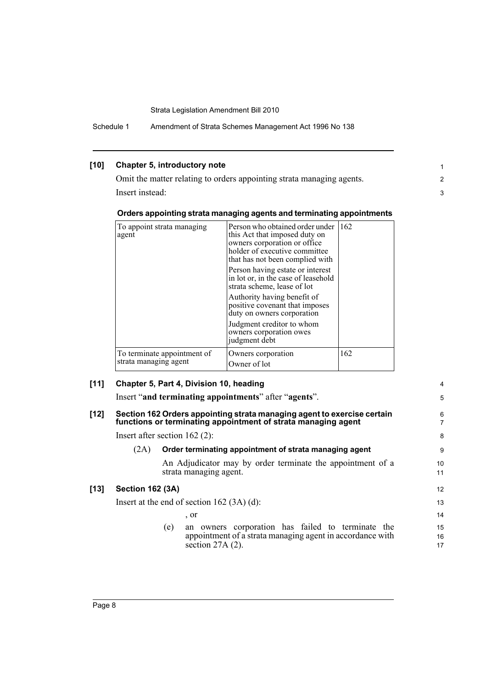Schedule 1 Amendment of Strata Schemes Management Act 1996 No 138

## **[10] Chapter 5, introductory note**

Omit the matter relating to orders appointing strata managing agents. Insert instead:

#### **Orders appointing strata managing agents and terminating appointments**

| To appoint strata managing<br>agent                  | Person who obtained order under<br>this Act that imposed duty on<br>owners corporation or office<br>holder of executive committee<br>that has not been complied with | 162 |
|------------------------------------------------------|----------------------------------------------------------------------------------------------------------------------------------------------------------------------|-----|
|                                                      | Person having estate or interest<br>in lot or, in the case of leasehold<br>strata scheme, lease of lot                                                               |     |
|                                                      | Authority having benefit of<br>positive covenant that imposes<br>duty on owners corporation                                                                          |     |
|                                                      | Judgment creditor to whom<br>owners corporation owes<br>judgment debt                                                                                                |     |
| To terminate appointment of<br>strata managing agent | Owners corporation<br>Owner of lot                                                                                                                                   | 162 |

### **[11] Chapter 5, Part 4, Division 10, heading**

Insert "**and terminating appointments**" after "**agents**".

#### **[12] Section 162 Orders appointing strata managing agent to exercise certain functions or terminating appointment of strata managing agent**

Insert after section 162 (2):

### (2A) **Order terminating appointment of strata managing agent**

An Adjudicator may by order terminate the appointment of a strata managing agent.

## **[13] Section 162 (3A)**

Insert at the end of section 162 (3A) (d): , or

> 16 17

4 5

1 2 3

(e) an owners corporation has failed to terminate the appointment of a strata managing agent in accordance with section 27A (2).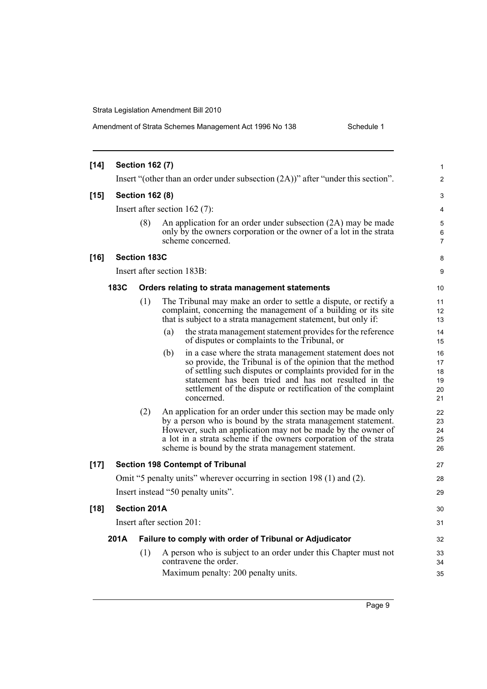Amendment of Strata Schemes Management Act 1996 No 138 Schedule 1

| $[14]$ | <b>Section 162 (7)</b> |                     |                                                                                                                                                                                                                                                                                                                                   |                                  |  |
|--------|------------------------|---------------------|-----------------------------------------------------------------------------------------------------------------------------------------------------------------------------------------------------------------------------------------------------------------------------------------------------------------------------------|----------------------------------|--|
|        |                        |                     | Insert "(other than an order under subsection $(2A)$ )" after "under this section".                                                                                                                                                                                                                                               | $\overline{c}$                   |  |
| $[15]$ | <b>Section 162 (8)</b> |                     |                                                                                                                                                                                                                                                                                                                                   | 3                                |  |
|        |                        |                     | Insert after section $162(7)$ :                                                                                                                                                                                                                                                                                                   | 4                                |  |
|        |                        | (8)                 | An application for an order under subsection (2A) may be made<br>only by the owners corporation or the owner of a lot in the strata<br>scheme concerned.                                                                                                                                                                          | 5<br>6<br>7                      |  |
| $[16]$ |                        | <b>Section 183C</b> |                                                                                                                                                                                                                                                                                                                                   | 8                                |  |
|        |                        |                     | Insert after section 183B:                                                                                                                                                                                                                                                                                                        | 9                                |  |
|        | 183C                   |                     | Orders relating to strata management statements                                                                                                                                                                                                                                                                                   | 10                               |  |
|        |                        | (1)                 | The Tribunal may make an order to settle a dispute, or rectify a<br>complaint, concerning the management of a building or its site<br>that is subject to a strata management statement, but only if:                                                                                                                              | 11<br>12<br>13                   |  |
|        |                        |                     | the strata management statement provides for the reference<br>(a)<br>of disputes or complaints to the Tribunal, or                                                                                                                                                                                                                | 14<br>15                         |  |
|        |                        |                     | (b)<br>in a case where the strata management statement does not<br>so provide, the Tribunal is of the opinion that the method<br>of settling such disputes or complaints provided for in the<br>statement has been tried and has not resulted in the<br>settlement of the dispute or rectification of the complaint<br>concerned. | 16<br>17<br>18<br>19<br>20<br>21 |  |
|        |                        | (2)                 | An application for an order under this section may be made only<br>by a person who is bound by the strata management statement.<br>However, such an application may not be made by the owner of<br>a lot in a strata scheme if the owners corporation of the strata<br>scheme is bound by the strata management statement.        | 22<br>23<br>24<br>25<br>26       |  |
| $[17]$ |                        |                     | <b>Section 198 Contempt of Tribunal</b>                                                                                                                                                                                                                                                                                           | 27                               |  |
|        |                        |                     | Omit "5 penalty units" wherever occurring in section 198 (1) and (2).                                                                                                                                                                                                                                                             | 28                               |  |
|        |                        |                     | Insert instead "50 penalty units".                                                                                                                                                                                                                                                                                                | 29                               |  |
| $[18]$ |                        | <b>Section 201A</b> |                                                                                                                                                                                                                                                                                                                                   | 30                               |  |
|        |                        |                     | Insert after section 201:                                                                                                                                                                                                                                                                                                         | 31                               |  |
|        | 201A                   |                     | Failure to comply with order of Tribunal or Adjudicator                                                                                                                                                                                                                                                                           | 32                               |  |
|        |                        | (1)                 | A person who is subject to an order under this Chapter must not<br>contravene the order.<br>Maximum penalty: 200 penalty units.                                                                                                                                                                                                   | 33<br>34<br>35                   |  |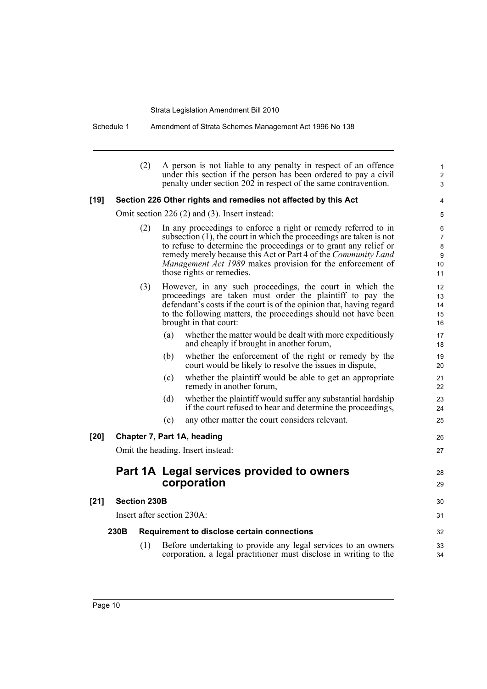Schedule 1 Amendment of Strata Schemes Management Act 1996 No 138

|      | (2)                 | A person is not liable to any penalty in respect of an offence<br>under this section if the person has been ordered to pay a civil<br>penalty under section 202 in respect of the same contravention.                                                                                                                                                                     | $\mathbf{1}$<br>2<br>3                    |
|------|---------------------|---------------------------------------------------------------------------------------------------------------------------------------------------------------------------------------------------------------------------------------------------------------------------------------------------------------------------------------------------------------------------|-------------------------------------------|
| [19] |                     | Section 226 Other rights and remedies not affected by this Act                                                                                                                                                                                                                                                                                                            | 4                                         |
|      |                     | Omit section 226 (2) and (3). Insert instead:                                                                                                                                                                                                                                                                                                                             | 5                                         |
|      | (2)                 | In any proceedings to enforce a right or remedy referred to in<br>subsection $(1)$ , the court in which the proceedings are taken is not<br>to refuse to determine the proceedings or to grant any relief or<br>remedy merely because this Act or Part 4 of the Community Land<br>Management Act 1989 makes provision for the enforcement of<br>those rights or remedies. | 6<br>$\overline{7}$<br>8<br>9<br>10<br>11 |
|      | (3)                 | However, in any such proceedings, the court in which the<br>proceedings are taken must order the plaintiff to pay the<br>defendant's costs if the court is of the opinion that, having regard<br>to the following matters, the proceedings should not have been<br>brought in that court:                                                                                 | 12<br>13<br>14<br>15<br>16                |
|      |                     | whether the matter would be dealt with more expeditiously<br>(a)<br>and cheaply if brought in another forum,                                                                                                                                                                                                                                                              | 17<br>18                                  |
|      |                     | whether the enforcement of the right or remedy by the<br>(b)<br>court would be likely to resolve the issues in dispute,                                                                                                                                                                                                                                                   | 19<br>20                                  |
|      |                     | whether the plaintiff would be able to get an appropriate<br>(c)<br>remedy in another forum,                                                                                                                                                                                                                                                                              | 21<br>22                                  |
|      |                     | whether the plaintiff would suffer any substantial hardship<br>(d)<br>if the court refused to hear and determine the proceedings,                                                                                                                                                                                                                                         | 23<br>24                                  |
|      |                     | any other matter the court considers relevant.<br>(e)                                                                                                                                                                                                                                                                                                                     | 25                                        |
| [20] |                     | Chapter 7, Part 1A, heading                                                                                                                                                                                                                                                                                                                                               | 26                                        |
|      |                     | Omit the heading. Insert instead:                                                                                                                                                                                                                                                                                                                                         | 27                                        |
|      |                     | Part 1A Legal services provided to owners<br>corporation                                                                                                                                                                                                                                                                                                                  | 28<br>29                                  |
| [21] | <b>Section 230B</b> |                                                                                                                                                                                                                                                                                                                                                                           | 30                                        |
|      |                     | Insert after section 230A:                                                                                                                                                                                                                                                                                                                                                | 31                                        |
|      | 230B                | Requirement to disclose certain connections                                                                                                                                                                                                                                                                                                                               | 32                                        |
|      | (1)                 | Before undertaking to provide any legal services to an owners<br>corporation, a legal practitioner must disclose in writing to the                                                                                                                                                                                                                                        | 33<br>34                                  |
|      |                     |                                                                                                                                                                                                                                                                                                                                                                           |                                           |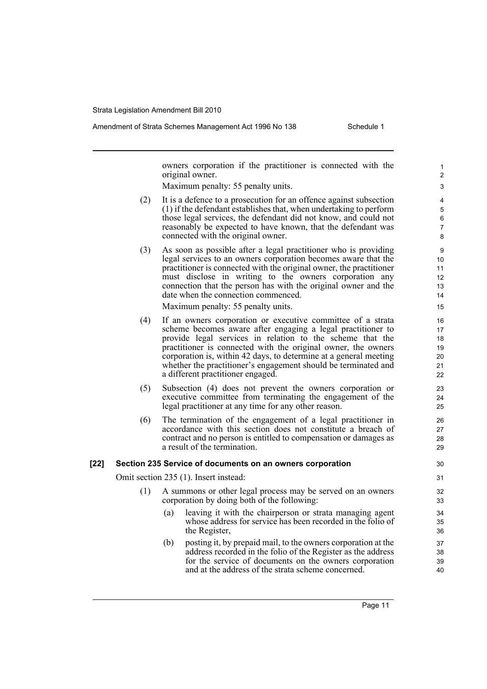owners corporation if the practitioner is connected with the original owner.

Maximum penalty: 55 penalty units.

- (2) It is a defence to a prosecution for an offence against subsection (1) if the defendant establishes that, when undertaking to perform those legal services, the defendant did not know, and could not reasonably be expected to have known, that the defendant was connected with the original owner.
- (3) As soon as possible after a legal practitioner who is providing legal services to an owners corporation becomes aware that the practitioner is connected with the original owner, the practitioner must disclose in writing to the owners corporation any connection that the person has with the original owner and the date when the connection commenced.

Maximum penalty: 55 penalty units.

- (4) If an owners corporation or executive committee of a strata scheme becomes aware after engaging a legal practitioner to provide legal services in relation to the scheme that the practitioner is connected with the original owner, the owners corporation is, within 42 days, to determine at a general meeting whether the practitioner's engagement should be terminated and a different practitioner engaged.
- (5) Subsection (4) does not prevent the owners corporation or executive committee from terminating the engagement of the legal practitioner at any time for any other reason.
- (6) The termination of the engagement of a legal practitioner in accordance with this section does not constitute a breach of contract and no person is entitled to compensation or damages as a result of the termination.

### **[22] Section 235 Service of documents on an owners corporation**

Omit section 235 (1). Insert instead:

- (1) A summons or other legal process may be served on an owners corporation by doing both of the following:
	- (a) leaving it with the chairperson or strata managing agent whose address for service has been recorded in the folio of the Register,
	- (b) posting it, by prepaid mail, to the owners corporation at the address recorded in the folio of the Register as the address for the service of documents on the owners corporation and at the address of the strata scheme concerned.

Page 11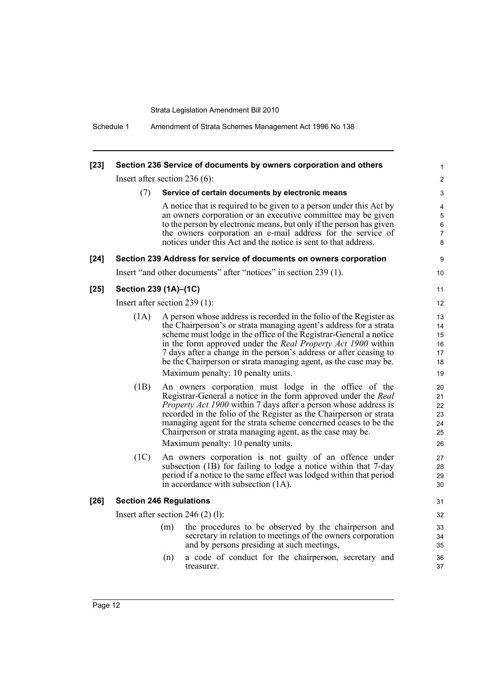| $[23]$ | Section 236 Service of documents by owners corporation and others                                                                                                                                                                                                                                                                                                                                                                                     |     |                                                                                                                                                                                                                                                                                                                                                                                                                                                                    |                                        |  |  |
|--------|-------------------------------------------------------------------------------------------------------------------------------------------------------------------------------------------------------------------------------------------------------------------------------------------------------------------------------------------------------------------------------------------------------------------------------------------------------|-----|--------------------------------------------------------------------------------------------------------------------------------------------------------------------------------------------------------------------------------------------------------------------------------------------------------------------------------------------------------------------------------------------------------------------------------------------------------------------|----------------------------------------|--|--|
|        | Insert after section $236(6)$ :                                                                                                                                                                                                                                                                                                                                                                                                                       |     |                                                                                                                                                                                                                                                                                                                                                                                                                                                                    | $\overline{2}$                         |  |  |
|        | (7)                                                                                                                                                                                                                                                                                                                                                                                                                                                   |     | Service of certain documents by electronic means                                                                                                                                                                                                                                                                                                                                                                                                                   | 3                                      |  |  |
|        |                                                                                                                                                                                                                                                                                                                                                                                                                                                       |     | A notice that is required to be given to a person under this Act by<br>an owners corporation or an executive committee may be given<br>to the person by electronic means, but only if the person has given<br>the owners corporation an e-mail address for the service of<br>notices under this Act and the notice is sent to that address.                                                                                                                        | 4<br>5<br>6<br>7<br>8                  |  |  |
| $[24]$ |                                                                                                                                                                                                                                                                                                                                                                                                                                                       |     | Section 239 Address for service of documents on owners corporation                                                                                                                                                                                                                                                                                                                                                                                                 | 9                                      |  |  |
|        |                                                                                                                                                                                                                                                                                                                                                                                                                                                       |     | Insert "and other documents" after "notices" in section 239 (1).                                                                                                                                                                                                                                                                                                                                                                                                   | 10                                     |  |  |
| $[25]$ | Section 239 (1A)-(1C)                                                                                                                                                                                                                                                                                                                                                                                                                                 |     |                                                                                                                                                                                                                                                                                                                                                                                                                                                                    | 11                                     |  |  |
|        | Insert after section 239 (1):                                                                                                                                                                                                                                                                                                                                                                                                                         |     |                                                                                                                                                                                                                                                                                                                                                                                                                                                                    | 12                                     |  |  |
|        | (1A)                                                                                                                                                                                                                                                                                                                                                                                                                                                  |     | A person whose address is recorded in the folio of the Register as<br>the Chairperson's or strata managing agent's address for a strata<br>scheme must lodge in the office of the Registrar-General a notice<br>in the form approved under the <i>Real Property Act 1900</i> within<br>7 days after a change in the person's address or after ceasing to<br>be the Chairperson or strata managing agent, as the case may be.<br>Maximum penalty: 10 penalty units. | 13<br>14<br>15<br>16<br>17<br>18<br>19 |  |  |
|        | (1B)<br>An owners corporation must lodge in the office of the<br>Registrar-General a notice in the form approved under the Real<br><i>Property Act 1900</i> within 7 days after a person whose address is<br>recorded in the folio of the Register as the Chairperson or strata<br>managing agent for the strata scheme concerned ceases to be the<br>Chairperson or strata managing agent, as the case may be.<br>Maximum penalty: 10 penalty units. |     |                                                                                                                                                                                                                                                                                                                                                                                                                                                                    |                                        |  |  |
|        | (1C)                                                                                                                                                                                                                                                                                                                                                                                                                                                  |     | An owners corporation is not guilty of an offence under<br>subsection (1B) for failing to lodge a notice within that 7-day<br>period if a notice to the same effect was lodged within that period<br>in accordance with subsection (1A).                                                                                                                                                                                                                           | 27<br>28<br>29<br>30                   |  |  |
| $[26]$ | <b>Section 246 Regulations</b>                                                                                                                                                                                                                                                                                                                                                                                                                        |     |                                                                                                                                                                                                                                                                                                                                                                                                                                                                    | 31                                     |  |  |
|        |                                                                                                                                                                                                                                                                                                                                                                                                                                                       |     | Insert after section 246 $(2)$ (1):                                                                                                                                                                                                                                                                                                                                                                                                                                | 32                                     |  |  |
|        |                                                                                                                                                                                                                                                                                                                                                                                                                                                       | (m) | the procedures to be observed by the chairperson and<br>secretary in relation to meetings of the owners corporation<br>and by persons presiding at such meetings,                                                                                                                                                                                                                                                                                                  | 33<br>34<br>35                         |  |  |
|        |                                                                                                                                                                                                                                                                                                                                                                                                                                                       | (n) | a code of conduct for the chairperson, secretary and<br>treasurer.                                                                                                                                                                                                                                                                                                                                                                                                 | 36<br>37                               |  |  |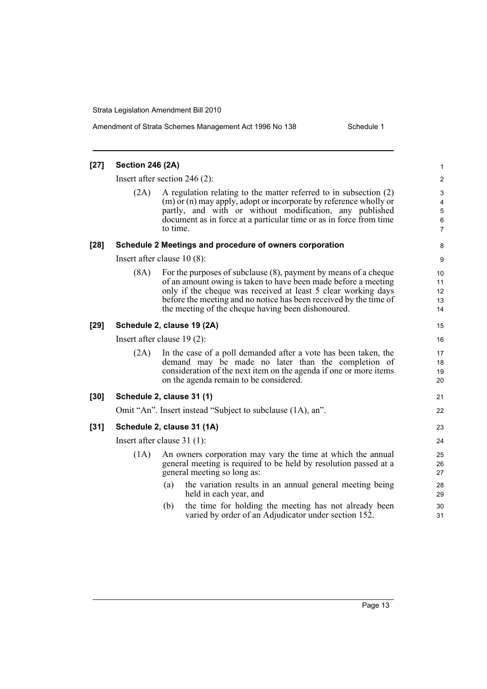Amendment of Strata Schemes Management Act 1996 No 138 Schedule 1

| $[27]$ | <b>Section 246 (2A)</b>       |                                                                                                                                                                                                                                                                                                                                  | 1                          |  |  |
|--------|-------------------------------|----------------------------------------------------------------------------------------------------------------------------------------------------------------------------------------------------------------------------------------------------------------------------------------------------------------------------------|----------------------------|--|--|
|        |                               | Insert after section 246 $(2)$ :                                                                                                                                                                                                                                                                                                 | $\overline{\mathbf{c}}$    |  |  |
|        | (2A)                          | A regulation relating to the matter referred to in subsection (2)<br>(m) or (n) may apply, adopt or incorporate by reference wholly or<br>partly, and with or without modification, any published<br>document as in force at a particular time or as in force from time<br>to time.                                              | 3<br>4<br>5<br>6<br>7      |  |  |
| $[28]$ |                               | Schedule 2 Meetings and procedure of owners corporation                                                                                                                                                                                                                                                                          | 8                          |  |  |
|        |                               | Insert after clause $10(8)$ :                                                                                                                                                                                                                                                                                                    | 9                          |  |  |
|        | (8A)                          | For the purposes of subclause $(8)$ , payment by means of a cheque<br>of an amount owing is taken to have been made before a meeting<br>only if the cheque was received at least 5 clear working days<br>before the meeting and no notice has been received by the time of<br>the meeting of the cheque having been dishonoured. | 10<br>11<br>12<br>13<br>14 |  |  |
| $[29]$ |                               | Schedule 2, clause 19 (2A)                                                                                                                                                                                                                                                                                                       | 15                         |  |  |
|        |                               | Insert after clause $19(2)$ :                                                                                                                                                                                                                                                                                                    | 16                         |  |  |
|        | (2A)                          | In the case of a poll demanded after a vote has been taken, the<br>demand may be made no later than the completion of<br>consideration of the next item on the agenda if one or more items<br>on the agenda remain to be considered.                                                                                             | 17<br>18<br>19<br>20       |  |  |
| $[30]$ |                               | Schedule 2, clause 31 (1)                                                                                                                                                                                                                                                                                                        | 21                         |  |  |
|        |                               | Omit "An". Insert instead "Subject to subclause (1A), an".                                                                                                                                                                                                                                                                       | 22                         |  |  |
| $[31]$ |                               | Schedule 2, clause 31 (1A)                                                                                                                                                                                                                                                                                                       | 23                         |  |  |
|        | Insert after clause $31(1)$ : |                                                                                                                                                                                                                                                                                                                                  |                            |  |  |
|        | (1A)                          | An owners corporation may vary the time at which the annual<br>general meeting is required to be held by resolution passed at a<br>general meeting so long as:                                                                                                                                                                   |                            |  |  |
|        |                               | the variation results in an annual general meeting being<br>(a)<br>held in each year, and                                                                                                                                                                                                                                        | 28<br>29                   |  |  |
|        |                               | the time for holding the meeting has not already been<br>(b)<br>varied by order of an Adjudicator under section 152.                                                                                                                                                                                                             | 30<br>31                   |  |  |
|        |                               |                                                                                                                                                                                                                                                                                                                                  |                            |  |  |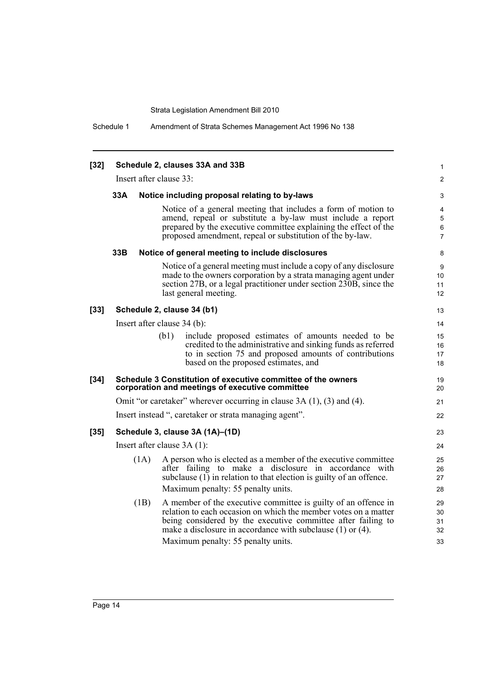Schedule 1 Amendment of Strata Schemes Management Act 1996 No 138

| $[32]$                  |                             |      | Schedule 2, clauses 33A and 33B                                                                                                                                                                                                                                                                            | 1                          |
|-------------------------|-----------------------------|------|------------------------------------------------------------------------------------------------------------------------------------------------------------------------------------------------------------------------------------------------------------------------------------------------------------|----------------------------|
| Insert after clause 33: |                             |      |                                                                                                                                                                                                                                                                                                            | $\overline{c}$             |
|                         | 33A                         |      | Notice including proposal relating to by-laws                                                                                                                                                                                                                                                              | 3                          |
|                         |                             |      | Notice of a general meeting that includes a form of motion to<br>amend, repeal or substitute a by-law must include a report<br>prepared by the executive committee explaining the effect of the<br>proposed amendment, repeal or substitution of the by-law.                                               | 4<br>5<br>6<br>7           |
|                         | 33B                         |      | Notice of general meeting to include disclosures                                                                                                                                                                                                                                                           | 8                          |
|                         |                             |      | Notice of a general meeting must include a copy of any disclosure<br>made to the owners corporation by a strata managing agent under<br>section 27B, or a legal practitioner under section 230B, since the<br>last general meeting.                                                                        | 9<br>10<br>11<br>12        |
| $[33]$                  |                             |      | Schedule 2, clause 34 (b1)                                                                                                                                                                                                                                                                                 | 13                         |
|                         | Insert after clause 34 (b): |      |                                                                                                                                                                                                                                                                                                            |                            |
|                         |                             |      | include proposed estimates of amounts needed to be<br>(b1)<br>credited to the administrative and sinking funds as referred<br>to in section 75 and proposed amounts of contributions<br>based on the proposed estimates, and                                                                               | 15<br>16<br>17<br>18       |
| $[34]$                  |                             |      | Schedule 3 Constitution of executive committee of the owners<br>corporation and meetings of executive committee                                                                                                                                                                                            | 19<br>20                   |
|                         |                             |      | Omit "or caretaker" wherever occurring in clause 3A (1), (3) and (4).                                                                                                                                                                                                                                      | 21                         |
|                         |                             |      | Insert instead ", caretaker or strata managing agent".                                                                                                                                                                                                                                                     | 22                         |
| $[35]$                  |                             |      | Schedule 3, clause 3A (1A)-(1D)                                                                                                                                                                                                                                                                            | 23                         |
|                         | Insert after clause 3A (1): |      |                                                                                                                                                                                                                                                                                                            |                            |
|                         |                             | (1A) | A person who is elected as a member of the executive committee<br>after failing to make a disclosure in accordance with<br>subclause $(1)$ in relation to that election is guilty of an offence.<br>Maximum penalty: 55 penalty units.                                                                     | 25<br>26<br>27<br>28       |
|                         |                             | (1B) | A member of the executive committee is guilty of an offence in<br>relation to each occasion on which the member votes on a matter<br>being considered by the executive committee after failing to<br>make a disclosure in accordance with subclause $(1)$ or $(4)$ .<br>Maximum penalty: 55 penalty units. | 29<br>30<br>31<br>32<br>33 |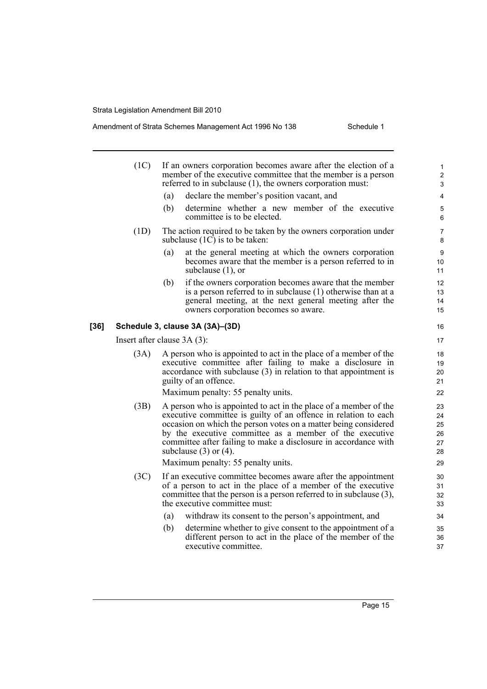|      | (1C)                          | If an owners corporation becomes aware after the election of a<br>member of the executive committee that the member is a person<br>referred to in subclause $(1)$ , the owners corporation must:                                                                                                                                                                   | 1<br>$\overline{\mathbf{c}}$<br>3 |  |
|------|-------------------------------|--------------------------------------------------------------------------------------------------------------------------------------------------------------------------------------------------------------------------------------------------------------------------------------------------------------------------------------------------------------------|-----------------------------------|--|
|      |                               | declare the member's position vacant, and<br>(a)                                                                                                                                                                                                                                                                                                                   | 4                                 |  |
|      |                               | (b)<br>determine whether a new member of the executive<br>committee is to be elected.                                                                                                                                                                                                                                                                              | 5<br>6                            |  |
|      | (1D)                          | The action required to be taken by the owners corporation under<br>subclause $(1C)$ is to be taken:                                                                                                                                                                                                                                                                | 7<br>8                            |  |
|      |                               | at the general meeting at which the owners corporation<br>(a)<br>becomes aware that the member is a person referred to in<br>subclause $(1)$ , or                                                                                                                                                                                                                  | 9<br>10<br>11                     |  |
|      |                               | if the owners corporation becomes aware that the member<br>(b)<br>is a person referred to in subclause (1) otherwise than at a<br>general meeting, at the next general meeting after the<br>owners corporation becomes so aware.                                                                                                                                   | 12<br>13<br>14<br>15              |  |
| [36] |                               | Schedule 3, clause 3A (3A)-(3D)                                                                                                                                                                                                                                                                                                                                    | 16                                |  |
|      | Insert after clause $3A(3)$ : |                                                                                                                                                                                                                                                                                                                                                                    |                                   |  |
|      | (3A)                          | A person who is appointed to act in the place of a member of the<br>executive committee after failing to make a disclosure in<br>accordance with subclause $(3)$ in relation to that appointment is<br>guilty of an offence.                                                                                                                                       | 18<br>19<br>20<br>21              |  |
|      |                               | Maximum penalty: 55 penalty units.                                                                                                                                                                                                                                                                                                                                 | 22                                |  |
|      | (3B)                          | A person who is appointed to act in the place of a member of the<br>executive committee is guilty of an offence in relation to each<br>occasion on which the person votes on a matter being considered<br>by the executive committee as a member of the executive<br>committee after failing to make a disclosure in accordance with<br>subclause $(3)$ or $(4)$ . | 23<br>24<br>25<br>26<br>27<br>28  |  |
|      |                               | Maximum penalty: 55 penalty units.                                                                                                                                                                                                                                                                                                                                 | 29                                |  |
|      | (3C)                          | If an executive committee becomes aware after the appointment<br>of a person to act in the place of a member of the executive<br>committee that the person is a person referred to in subclause (3),<br>the executive committee must:                                                                                                                              | 30<br>31<br>32<br>33              |  |
|      |                               | (a)<br>withdraw its consent to the person's appointment, and                                                                                                                                                                                                                                                                                                       | 34                                |  |
|      |                               | (b)<br>determine whether to give consent to the appointment of a<br>different person to act in the place of the member of the<br>executive committee.                                                                                                                                                                                                              | 35<br>36<br>37                    |  |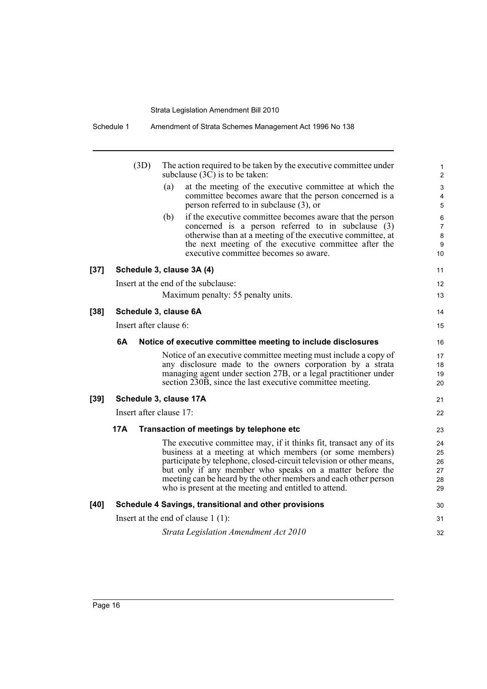|        | Schedule 1              | Amendment of Strata Schemes Management Act 1996 No 138                                                                                                                                                                                                                                                                                                                                        |
|--------|-------------------------|-----------------------------------------------------------------------------------------------------------------------------------------------------------------------------------------------------------------------------------------------------------------------------------------------------------------------------------------------------------------------------------------------|
|        | (3D)                    | The action required to be taken by the executive committee under<br>subclause $(3\overline{C})$ is to be taken:                                                                                                                                                                                                                                                                               |
|        |                         | at the meeting of the executive committee at which the<br>(a)<br>committee becomes aware that the person concerned is a<br>person referred to in subclause $(3)$ , or                                                                                                                                                                                                                         |
|        |                         | if the executive committee becomes aware that the person<br>(b)<br>concerned is a person referred to in subclause (3)<br>otherwise than at a meeting of the executive committee, at<br>the next meeting of the executive committee after the<br>executive committee becomes so aware.                                                                                                         |
| $[37]$ |                         | Schedule 3, clause 3A (4)                                                                                                                                                                                                                                                                                                                                                                     |
|        |                         | Insert at the end of the subclause:                                                                                                                                                                                                                                                                                                                                                           |
|        |                         | Maximum penalty: 55 penalty units.                                                                                                                                                                                                                                                                                                                                                            |
| $[38]$ |                         | Schedule 3, clause 6A                                                                                                                                                                                                                                                                                                                                                                         |
|        | Insert after clause 6:  |                                                                                                                                                                                                                                                                                                                                                                                               |
|        | 6A                      | Notice of executive committee meeting to include disclosures                                                                                                                                                                                                                                                                                                                                  |
|        |                         | Notice of an executive committee meeting must include a copy of<br>any disclosure made to the owners corporation by a strata<br>managing agent under section 27B, or a legal practitioner under<br>section 230B, since the last executive committee meeting.                                                                                                                                  |
| $[39]$ |                         | Schedule 3, clause 17A                                                                                                                                                                                                                                                                                                                                                                        |
|        | Insert after clause 17: |                                                                                                                                                                                                                                                                                                                                                                                               |
|        | 17A                     | Transaction of meetings by telephone etc                                                                                                                                                                                                                                                                                                                                                      |
|        |                         | The executive committee may, if it thinks fit, transact any of its<br>business at a meeting at which members (or some members)<br>participate by telephone, closed-circuit television or other means,<br>but only if any member who speaks on a matter before the<br>meeting can be heard by the other members and each other person<br>who is present at the meeting and entitled to attend. |
| [40]   |                         | Schedule 4 Savings, transitional and other provisions                                                                                                                                                                                                                                                                                                                                         |
|        |                         | Insert at the end of clause $1(1)$ :                                                                                                                                                                                                                                                                                                                                                          |
|        |                         |                                                                                                                                                                                                                                                                                                                                                                                               |
|        |                         | Strata Legislation Amendment Act 2010                                                                                                                                                                                                                                                                                                                                                         |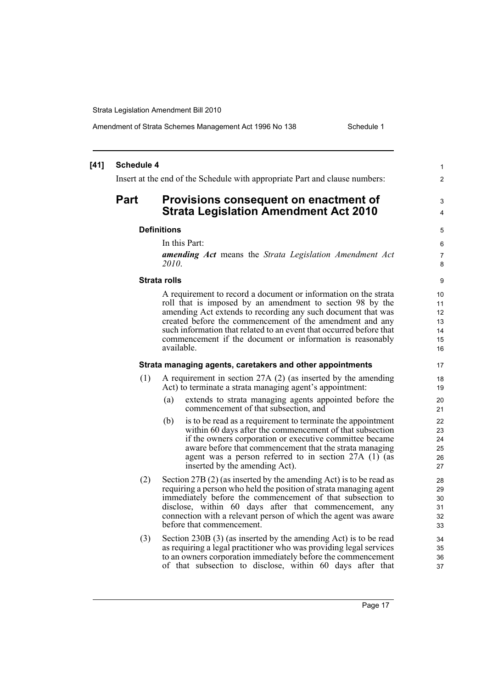Amendment of Strata Schemes Management Act 1996 No 138 Schedule 1

#### **[41] Schedule 4** Insert at the end of the Schedule with appropriate Part and clause numbers: **Part Provisions consequent on enactment of Strata Legislation Amendment Act 2010 Definitions** In this Part: *amending Act* means the *Strata Legislation Amendment Act 2010*. **Strata rolls** A requirement to record a document or information on the strata roll that is imposed by an amendment to section 98 by the amending Act extends to recording any such document that was created before the commencement of the amendment and any such information that related to an event that occurred before that commencement if the document or information is reasonably available. **Strata managing agents, caretakers and other appointments** (1) A requirement in section 27A (2) (as inserted by the amending Act) to terminate a strata managing agent's appointment: (a) extends to strata managing agents appointed before the commencement of that subsection, and (b) is to be read as a requirement to terminate the appointment within 60 days after the commencement of that subsection if the owners corporation or executive committee became aware before that commencement that the strata managing agent was a person referred to in section 27A (1) (as inserted by the amending Act). (2) Section 27B (2) (as inserted by the amending Act) is to be read as requiring a person who held the position of strata managing agent immediately before the commencement of that subsection to disclose, within 60 days after that commencement, any connection with a relevant person of which the agent was aware before that commencement. (3) Section 230B (3) (as inserted by the amending Act) is to be read as requiring a legal practitioner who was providing legal services to an owners corporation immediately before the commencement of that subsection to disclose, within 60 days after that 1  $\mathfrak{p}$ 3 4 5 6 7 8 9 10 11 12 13 14 15 16 17 18 19 20 21  $22$ 23 24 25 26 27 28 29 30 31 32 33 34 35 36 37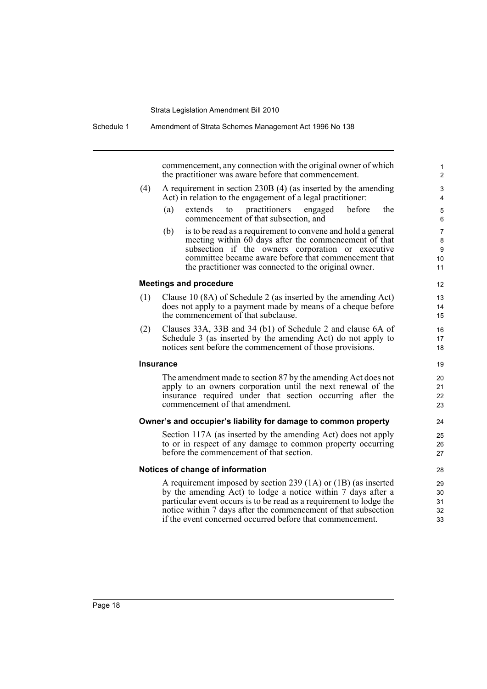|     | commencement, any connection with the original owner of which<br>the practitioner was aware before that commencement.                 |
|-----|---------------------------------------------------------------------------------------------------------------------------------------|
|     |                                                                                                                                       |
| (4) | A requirement in section 230B (4) (as inserted by the amending<br>Act) in relation to the engagement of a legal practitioner:         |
|     | practitioners<br>before<br>the<br>(a)<br>extends<br>to<br>engaged<br>commencement of that subsection, and                             |
|     | is to be read as a requirement to convene and hold a general<br>(b)                                                                   |
|     | meeting within 60 days after the commencement of that                                                                                 |
|     | subsection if the owners corporation or executive<br>committee became aware before that commencement that                             |
|     | the practitioner was connected to the original owner.                                                                                 |
|     | <b>Meetings and procedure</b>                                                                                                         |
| (1) | Clause 10 (8A) of Schedule 2 (as inserted by the amending Act)                                                                        |
|     | does not apply to a payment made by means of a cheque before                                                                          |
|     | the commencement of that subclause.                                                                                                   |
| (2) | Clauses 33A, 33B and 34 (b1) of Schedule 2 and clause 6A of                                                                           |
|     | Schedule 3 (as inserted by the amending Act) do not apply to<br>notices sent before the commencement of those provisions.             |
|     | <b>Insurance</b>                                                                                                                      |
|     | The amendment made to section 87 by the amending Act does not                                                                         |
|     | apply to an owners corporation until the next renewal of the                                                                          |
|     | insurance required under that section occurring after the<br>commencement of that amendment.                                          |
|     | Owner's and occupier's liability for damage to common property                                                                        |
|     | Section 117A (as inserted by the amending Act) does not apply                                                                         |
|     | to or in respect of any damage to common property occurring                                                                           |
|     | before the commencement of that section.                                                                                              |
|     | Notices of change of information                                                                                                      |
|     | A requirement imposed by section 239 (1A) or (1B) (as inserted                                                                        |
|     | by the amending Act) to lodge a notice within 7 days after a                                                                          |
|     | particular event occurs is to be read as a requirement to lodge the<br>notice within 7 days after the commencement of that subsection |
|     |                                                                                                                                       |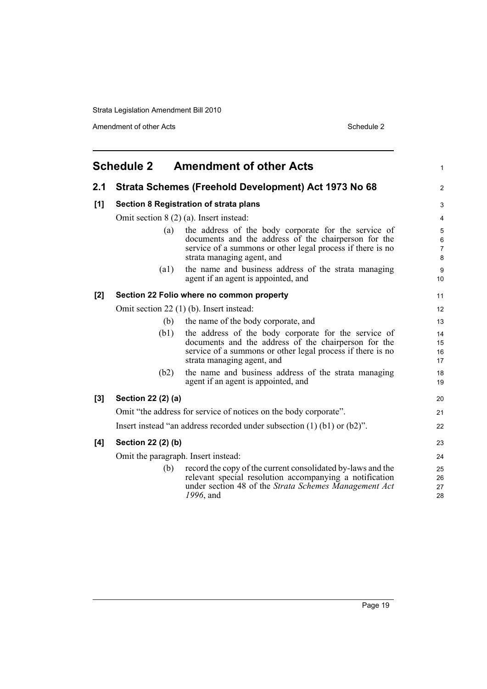Amendment of other Acts Schedule 2

<span id="page-26-0"></span>

| <b>Schedule 2</b><br><b>Amendment of other Acts</b> |                                     |                                                                                                                                                                                                          |                                               |
|-----------------------------------------------------|-------------------------------------|----------------------------------------------------------------------------------------------------------------------------------------------------------------------------------------------------------|-----------------------------------------------|
| 2.1                                                 |                                     | Strata Schemes (Freehold Development) Act 1973 No 68                                                                                                                                                     | 2                                             |
| [1]                                                 |                                     | Section 8 Registration of strata plans                                                                                                                                                                   | 3                                             |
|                                                     |                                     | Omit section $8(2)(a)$ . Insert instead:                                                                                                                                                                 | 4                                             |
|                                                     | (a)                                 | the address of the body corporate for the service of<br>documents and the address of the chairperson for the<br>service of a summons or other legal process if there is no<br>strata managing agent, and | $\mathbf 5$<br>$\,6\,$<br>$\overline{7}$<br>8 |
|                                                     | $\left( a1\right)$                  | the name and business address of the strata managing<br>agent if an agent is appointed, and                                                                                                              | $\boldsymbol{9}$<br>10                        |
| [2]                                                 |                                     | Section 22 Folio where no common property                                                                                                                                                                | 11                                            |
|                                                     |                                     | Omit section $22$ (1) (b). Insert instead:                                                                                                                                                               | 12                                            |
|                                                     | (b)                                 | the name of the body corporate, and                                                                                                                                                                      | 13                                            |
|                                                     | (b1)                                | the address of the body corporate for the service of<br>documents and the address of the chairperson for the<br>service of a summons or other legal process if there is no<br>strata managing agent, and | 14<br>15<br>16<br>17                          |
|                                                     | (b2)                                | the name and business address of the strata managing<br>agent if an agent is appointed, and                                                                                                              | 18<br>19                                      |
| [3]                                                 | Section 22 (2) (a)                  |                                                                                                                                                                                                          | 20                                            |
|                                                     |                                     | Omit "the address for service of notices on the body corporate".                                                                                                                                         | 21                                            |
|                                                     |                                     | Insert instead "an address recorded under subsection $(1)$ $(b1)$ or $(b2)$ ".                                                                                                                           | 22                                            |
| [4]                                                 | Section 22 (2) (b)                  |                                                                                                                                                                                                          | 23                                            |
|                                                     | Omit the paragraph. Insert instead: |                                                                                                                                                                                                          |                                               |
|                                                     | (b)                                 | record the copy of the current consolidated by-laws and the<br>relevant special resolution accompanying a notification<br>under section 48 of the Strata Schemes Management Act<br>1996, and             | 25<br>26<br>27<br>28                          |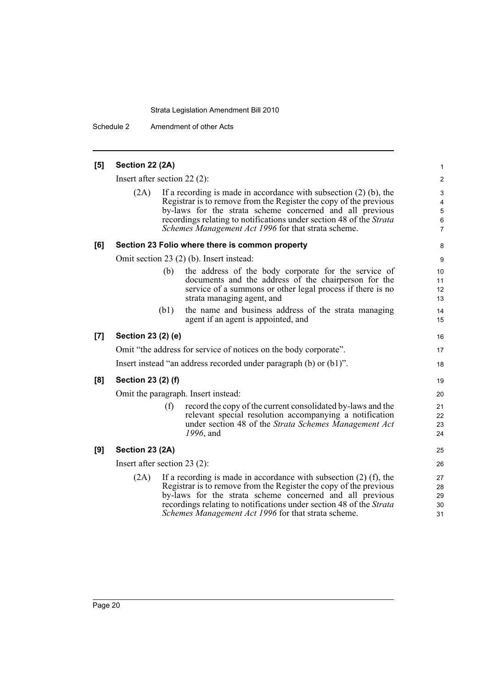Schedule 2 Amendment of other Acts

| [5] | Section 22 (2A)                                                     |      |                                                                                                                                 | $\mathbf{1}$            |
|-----|---------------------------------------------------------------------|------|---------------------------------------------------------------------------------------------------------------------------------|-------------------------|
|     |                                                                     |      |                                                                                                                                 |                         |
|     | Insert after section $22(2)$ :                                      |      |                                                                                                                                 |                         |
|     | (2A)                                                                |      | If a recording is made in accordance with subsection $(2)$ (b), the                                                             | 3                       |
|     |                                                                     |      | Registrar is to remove from the Register the copy of the previous                                                               | $\overline{\mathbf{4}}$ |
|     |                                                                     |      | by-laws for the strata scheme concerned and all previous<br>recordings relating to notifications under section 48 of the Strata | $\sqrt{5}$<br>$\,6\,$   |
|     |                                                                     |      | Schemes Management Act 1996 for that strata scheme.                                                                             | $\overline{7}$          |
| [6] |                                                                     |      | Section 23 Folio where there is common property                                                                                 | 8                       |
|     |                                                                     |      | Omit section 23 (2) (b). Insert instead:                                                                                        | 9                       |
|     |                                                                     | (b)  | the address of the body corporate for the service of                                                                            | 10                      |
|     |                                                                     |      | documents and the address of the chairperson for the                                                                            | 11                      |
|     |                                                                     |      | service of a summons or other legal process if there is no                                                                      | 12                      |
|     |                                                                     |      | strata managing agent, and                                                                                                      | 13                      |
|     |                                                                     | (b1) | the name and business address of the strata managing                                                                            | 14                      |
|     |                                                                     |      | agent if an agent is appointed, and                                                                                             | 15                      |
| [7] | Section 23 (2) (e)                                                  |      |                                                                                                                                 | 16                      |
|     |                                                                     |      | Omit "the address for service of notices on the body corporate".                                                                | 17                      |
|     | Insert instead "an address recorded under paragraph (b) or (b1)".   |      |                                                                                                                                 |                         |
| [8] | Section 23 (2) (f)                                                  |      |                                                                                                                                 | 19                      |
|     |                                                                     |      | Omit the paragraph. Insert instead:                                                                                             | 20                      |
|     |                                                                     | (f)  | record the copy of the current consolidated by-laws and the                                                                     | 21                      |
|     |                                                                     |      | relevant special resolution accompanying a notification                                                                         | 22                      |
|     |                                                                     |      | under section 48 of the Strata Schemes Management Act                                                                           | 23                      |
|     |                                                                     |      | 1996, and                                                                                                                       | 24                      |
| [9] | Section 23 (2A)                                                     |      |                                                                                                                                 | 25                      |
|     | Insert after section 23 $(2)$ :                                     |      |                                                                                                                                 | 26                      |
|     | (2A)                                                                |      | If a recording is made in accordance with subsection $(2)$ (f), the                                                             | 27                      |
|     |                                                                     |      | Registrar is to remove from the Register the copy of the previous                                                               | 28                      |
|     |                                                                     |      | by-laws for the strata scheme concerned and all previous                                                                        | 29                      |
|     | recordings relating to notifications under section 48 of the Strata |      |                                                                                                                                 |                         |
|     |                                                                     |      | Schemes Management Act 1996 for that strata scheme.                                                                             | 31                      |
|     |                                                                     |      |                                                                                                                                 |                         |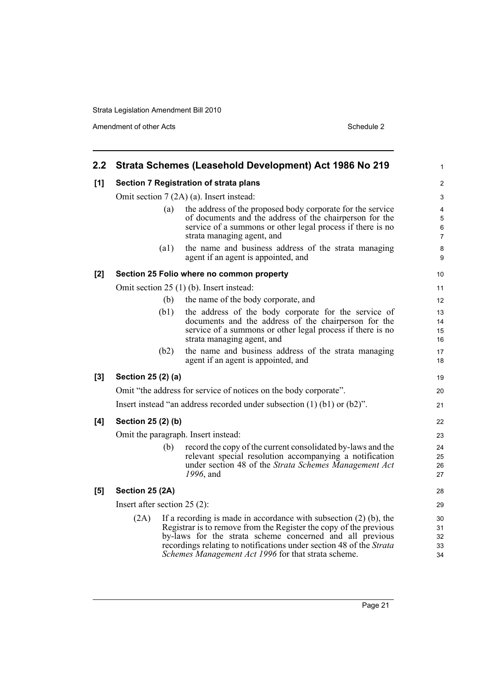Amendment of other Acts Schedule 2

| $2.2\phantom{0}$ |                                                                                                                                                                                                                                                                                                                                            | Strata Schemes (Leasehold Development) Act 1986 No 219                                                                                                                                                                   | $\mathbf{1}$                            |  |
|------------------|--------------------------------------------------------------------------------------------------------------------------------------------------------------------------------------------------------------------------------------------------------------------------------------------------------------------------------------------|--------------------------------------------------------------------------------------------------------------------------------------------------------------------------------------------------------------------------|-----------------------------------------|--|
| [1]              |                                                                                                                                                                                                                                                                                                                                            | Section 7 Registration of strata plans                                                                                                                                                                                   | $\overline{2}$                          |  |
|                  | Omit section 7 (2A) (a). Insert instead:                                                                                                                                                                                                                                                                                                   |                                                                                                                                                                                                                          |                                         |  |
|                  |                                                                                                                                                                                                                                                                                                                                            | the address of the proposed body corporate for the service<br>(a)<br>of documents and the address of the chairperson for the<br>service of a summons or other legal process if there is no<br>strata managing agent, and | 4<br>$\mathbf 5$<br>6<br>$\overline{7}$ |  |
|                  | (a1)                                                                                                                                                                                                                                                                                                                                       | the name and business address of the strata managing<br>agent if an agent is appointed, and                                                                                                                              | $\bf 8$<br>9                            |  |
| [2]              |                                                                                                                                                                                                                                                                                                                                            | Section 25 Folio where no common property                                                                                                                                                                                | 10                                      |  |
|                  |                                                                                                                                                                                                                                                                                                                                            | Omit section 25 (1) (b). Insert instead:                                                                                                                                                                                 | 11                                      |  |
|                  | (b)                                                                                                                                                                                                                                                                                                                                        | the name of the body corporate, and                                                                                                                                                                                      | 12                                      |  |
|                  | (b1)                                                                                                                                                                                                                                                                                                                                       | the address of the body corporate for the service of<br>documents and the address of the chairperson for the<br>service of a summons or other legal process if there is no<br>strata managing agent, and                 | 13<br>14<br>15<br>16                    |  |
|                  | (b2)                                                                                                                                                                                                                                                                                                                                       | the name and business address of the strata managing<br>agent if an agent is appointed, and                                                                                                                              | 17<br>18                                |  |
| [3]              | Section 25 (2) (a)                                                                                                                                                                                                                                                                                                                         |                                                                                                                                                                                                                          | 19                                      |  |
|                  |                                                                                                                                                                                                                                                                                                                                            | Omit "the address for service of notices on the body corporate".                                                                                                                                                         | 20                                      |  |
|                  | Insert instead "an address recorded under subsection $(1)$ $(b1)$ or $(b2)$ ".                                                                                                                                                                                                                                                             |                                                                                                                                                                                                                          |                                         |  |
| [4]              | Section 25 (2) (b)                                                                                                                                                                                                                                                                                                                         |                                                                                                                                                                                                                          | 22                                      |  |
|                  | Omit the paragraph. Insert instead:                                                                                                                                                                                                                                                                                                        |                                                                                                                                                                                                                          |                                         |  |
|                  | (b)                                                                                                                                                                                                                                                                                                                                        | record the copy of the current consolidated by-laws and the<br>relevant special resolution accompanying a notification<br>under section 48 of the Strata Schemes Management Act<br>1996, and                             | 24<br>25<br>26<br>27                    |  |
| [5]              | Section 25 (2A)                                                                                                                                                                                                                                                                                                                            |                                                                                                                                                                                                                          | 28                                      |  |
|                  | Insert after section $25(2)$ :                                                                                                                                                                                                                                                                                                             |                                                                                                                                                                                                                          | 29                                      |  |
|                  | If a recording is made in accordance with subsection $(2)$ (b), the<br>(2A)<br>Registrar is to remove from the Register the copy of the previous<br>by-laws for the strata scheme concerned and all previous<br>recordings relating to notifications under section 48 of the Strata<br>Schemes Management Act 1996 for that strata scheme. |                                                                                                                                                                                                                          |                                         |  |